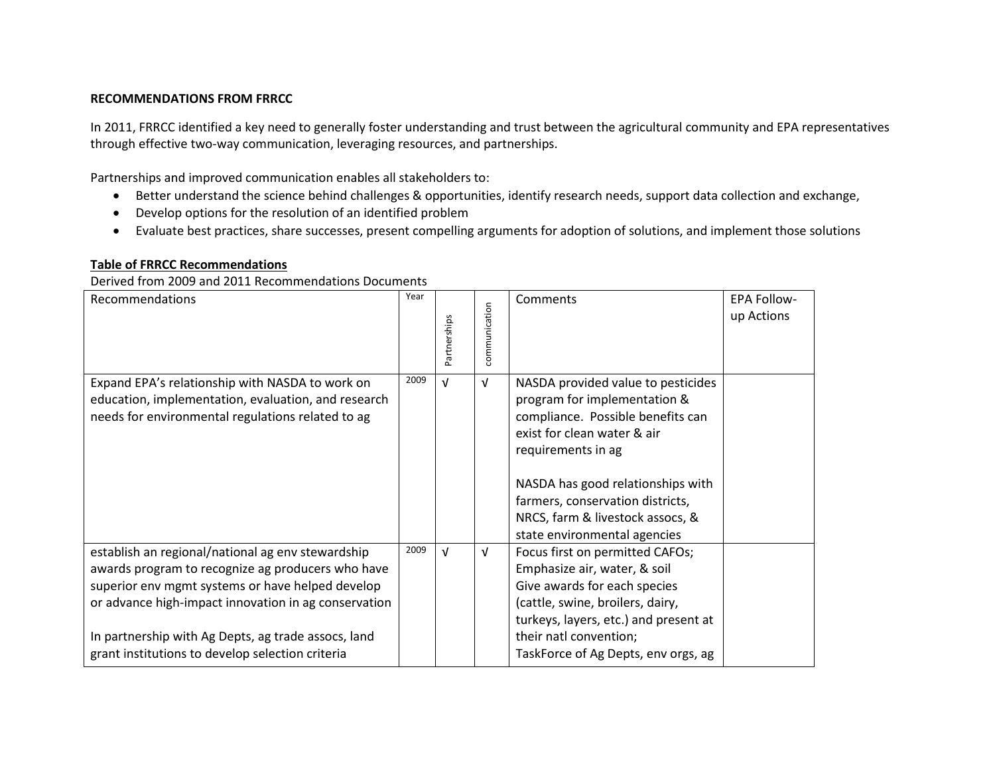## **RECOMMENDATIONS FROM FRRCC**

In 2011, FRRCC identified a key need to generally foster understanding and trust between the agricultural community and EPA representatives through effective two-way communication, leveraging resources, and partnerships.

Partnerships and improved communication enables all stakeholders to:

- Better understand the science behind challenges & opportunities, identify research needs, support data collection and exchange,
- Develop options for the resolution of an identified problem
- Evaluate best practices, share successes, present compelling arguments for adoption of solutions, and implement those solutions

## **Table of FRRCC Recommendations**

Derived from 2009 and 2011 Recommendations Documents

| Recommendations                                                                                                                                                                                                                                                                                                               | Year | Partnerships | communication | Comments                                                                                                                                                                                                                                                                                                  | <b>EPA Follow-</b><br>up Actions |
|-------------------------------------------------------------------------------------------------------------------------------------------------------------------------------------------------------------------------------------------------------------------------------------------------------------------------------|------|--------------|---------------|-----------------------------------------------------------------------------------------------------------------------------------------------------------------------------------------------------------------------------------------------------------------------------------------------------------|----------------------------------|
| Expand EPA's relationship with NASDA to work on<br>education, implementation, evaluation, and research<br>needs for environmental regulations related to ag                                                                                                                                                                   | 2009 | $\sqrt{ }$   | $\sqrt{ }$    | NASDA provided value to pesticides<br>program for implementation &<br>compliance. Possible benefits can<br>exist for clean water & air<br>requirements in ag<br>NASDA has good relationships with<br>farmers, conservation districts,<br>NRCS, farm & livestock assocs, &<br>state environmental agencies |                                  |
| establish an regional/national ag env stewardship<br>awards program to recognize ag producers who have<br>superior env mgmt systems or have helped develop<br>or advance high-impact innovation in ag conservation<br>In partnership with Ag Depts, ag trade assocs, land<br>grant institutions to develop selection criteria | 2009 | $\sqrt{ }$   | $\sqrt{ }$    | Focus first on permitted CAFOs;<br>Emphasize air, water, & soil<br>Give awards for each species<br>(cattle, swine, broilers, dairy,<br>turkeys, layers, etc.) and present at<br>their natl convention;<br>TaskForce of Ag Depts, env orgs, ag                                                             |                                  |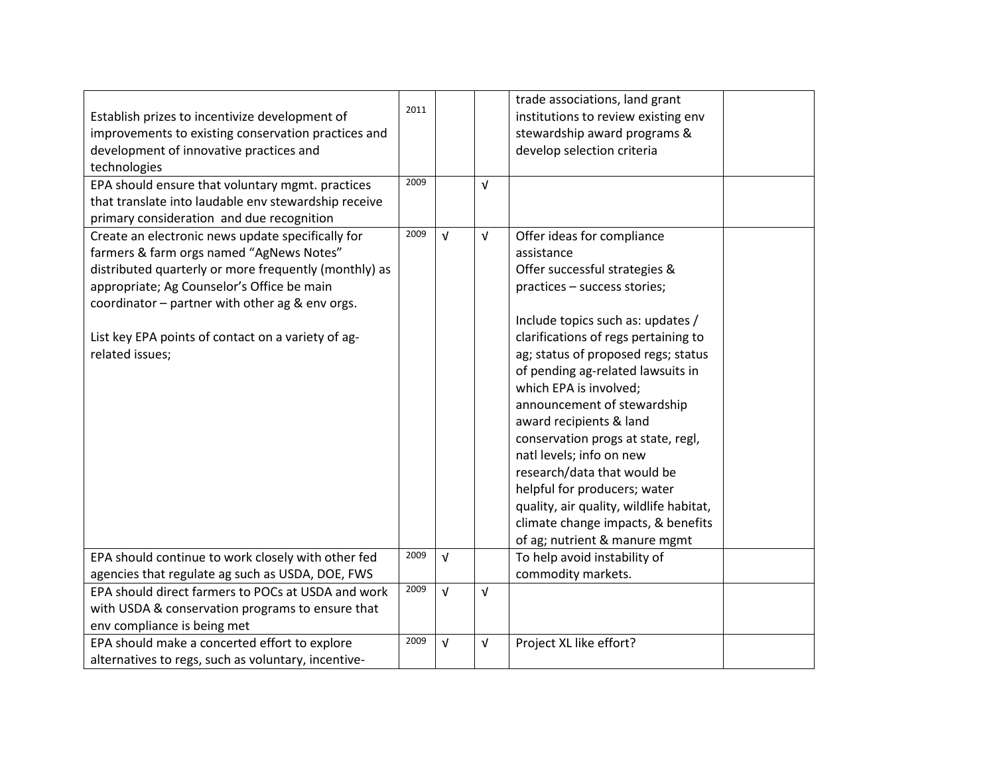| Establish prizes to incentivize development of<br>improvements to existing conservation practices and<br>development of innovative practices and<br>technologies<br>EPA should ensure that voluntary mgmt. practices<br>that translate into laudable env stewardship receive                                                     | 2011<br>2009 |            | V          | trade associations, land grant<br>institutions to review existing env<br>stewardship award programs &<br>develop selection criteria                                                                                                                                                                                                                                                                                                                                                                                                                                                                       |  |
|----------------------------------------------------------------------------------------------------------------------------------------------------------------------------------------------------------------------------------------------------------------------------------------------------------------------------------|--------------|------------|------------|-----------------------------------------------------------------------------------------------------------------------------------------------------------------------------------------------------------------------------------------------------------------------------------------------------------------------------------------------------------------------------------------------------------------------------------------------------------------------------------------------------------------------------------------------------------------------------------------------------------|--|
| primary consideration and due recognition                                                                                                                                                                                                                                                                                        |              |            |            |                                                                                                                                                                                                                                                                                                                                                                                                                                                                                                                                                                                                           |  |
| Create an electronic news update specifically for<br>farmers & farm orgs named "AgNews Notes"<br>distributed quarterly or more frequently (monthly) as<br>appropriate; Ag Counselor's Office be main<br>coordinator - partner with other ag & env orgs.<br>List key EPA points of contact on a variety of ag-<br>related issues; | 2009         | $\sqrt{ }$ | $\sqrt{ }$ | Offer ideas for compliance<br>assistance<br>Offer successful strategies &<br>practices - success stories;<br>Include topics such as: updates /<br>clarifications of regs pertaining to<br>ag; status of proposed regs; status<br>of pending ag-related lawsuits in<br>which EPA is involved;<br>announcement of stewardship<br>award recipients & land<br>conservation progs at state, regl,<br>natl levels; info on new<br>research/data that would be<br>helpful for producers; water<br>quality, air quality, wildlife habitat,<br>climate change impacts, & benefits<br>of ag; nutrient & manure mgmt |  |
| EPA should continue to work closely with other fed                                                                                                                                                                                                                                                                               | 2009         | $\sqrt{ }$ |            | To help avoid instability of                                                                                                                                                                                                                                                                                                                                                                                                                                                                                                                                                                              |  |
| agencies that regulate ag such as USDA, DOE, FWS                                                                                                                                                                                                                                                                                 | 2009         | $\sqrt{ }$ |            | commodity markets.                                                                                                                                                                                                                                                                                                                                                                                                                                                                                                                                                                                        |  |
| EPA should direct farmers to POCs at USDA and work<br>with USDA & conservation programs to ensure that                                                                                                                                                                                                                           |              |            | $\sqrt{ }$ |                                                                                                                                                                                                                                                                                                                                                                                                                                                                                                                                                                                                           |  |
| env compliance is being met                                                                                                                                                                                                                                                                                                      |              |            |            |                                                                                                                                                                                                                                                                                                                                                                                                                                                                                                                                                                                                           |  |
| EPA should make a concerted effort to explore<br>alternatives to regs, such as voluntary, incentive-                                                                                                                                                                                                                             | 2009         | $\sqrt{ }$ | V          | Project XL like effort?                                                                                                                                                                                                                                                                                                                                                                                                                                                                                                                                                                                   |  |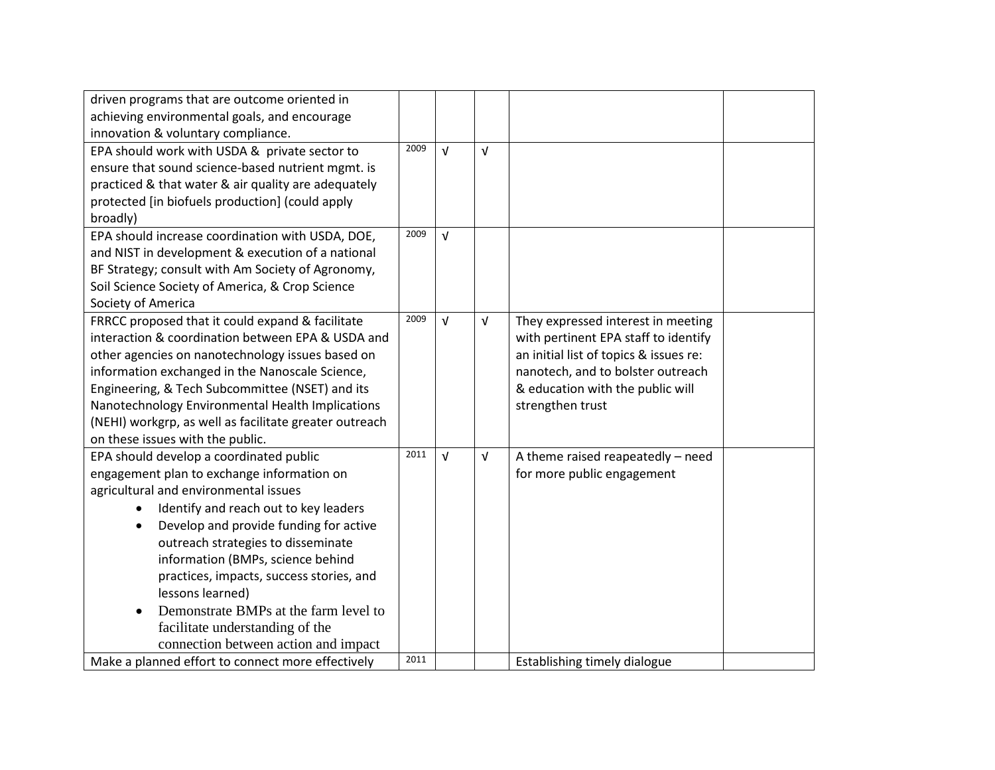| driven programs that are outcome oriented in           |      |            |            |                                        |  |
|--------------------------------------------------------|------|------------|------------|----------------------------------------|--|
| achieving environmental goals, and encourage           |      |            |            |                                        |  |
| innovation & voluntary compliance.                     |      |            |            |                                        |  |
| EPA should work with USDA & private sector to          | 2009 | $\sqrt{ }$ | $\sqrt{ }$ |                                        |  |
| ensure that sound science-based nutrient mgmt. is      |      |            |            |                                        |  |
| practiced & that water & air quality are adequately    |      |            |            |                                        |  |
| protected [in biofuels production] (could apply        |      |            |            |                                        |  |
| broadly)                                               |      |            |            |                                        |  |
| EPA should increase coordination with USDA, DOE,       | 2009 | $\sqrt{ }$ |            |                                        |  |
| and NIST in development & execution of a national      |      |            |            |                                        |  |
| BF Strategy; consult with Am Society of Agronomy,      |      |            |            |                                        |  |
| Soil Science Society of America, & Crop Science        |      |            |            |                                        |  |
| Society of America                                     |      |            |            |                                        |  |
| FRRCC proposed that it could expand & facilitate       | 2009 | $\sqrt{ }$ | V          | They expressed interest in meeting     |  |
| interaction & coordination between EPA & USDA and      |      |            |            | with pertinent EPA staff to identify   |  |
| other agencies on nanotechnology issues based on       |      |            |            | an initial list of topics & issues re: |  |
| information exchanged in the Nanoscale Science,        |      |            |            | nanotech, and to bolster outreach      |  |
| Engineering, & Tech Subcommittee (NSET) and its        |      |            |            | & education with the public will       |  |
| Nanotechnology Environmental Health Implications       |      |            |            | strengthen trust                       |  |
| (NEHI) workgrp, as well as facilitate greater outreach |      |            |            |                                        |  |
| on these issues with the public.                       |      |            |            |                                        |  |
| EPA should develop a coordinated public                | 2011 | $\sqrt{ }$ | V          | A theme raised reapeatedly - need      |  |
| engagement plan to exchange information on             |      |            |            | for more public engagement             |  |
| agricultural and environmental issues                  |      |            |            |                                        |  |
| Identify and reach out to key leaders<br>$\bullet$     |      |            |            |                                        |  |
| Develop and provide funding for active<br>$\bullet$    |      |            |            |                                        |  |
| outreach strategies to disseminate                     |      |            |            |                                        |  |
| information (BMPs, science behind                      |      |            |            |                                        |  |
| practices, impacts, success stories, and               |      |            |            |                                        |  |
| lessons learned)                                       |      |            |            |                                        |  |
| Demonstrate BMPs at the farm level to<br>$\bullet$     |      |            |            |                                        |  |
| facilitate understanding of the                        |      |            |            |                                        |  |
| connection between action and impact                   |      |            |            |                                        |  |
| Make a planned effort to connect more effectively      | 2011 |            |            | Establishing timely dialogue           |  |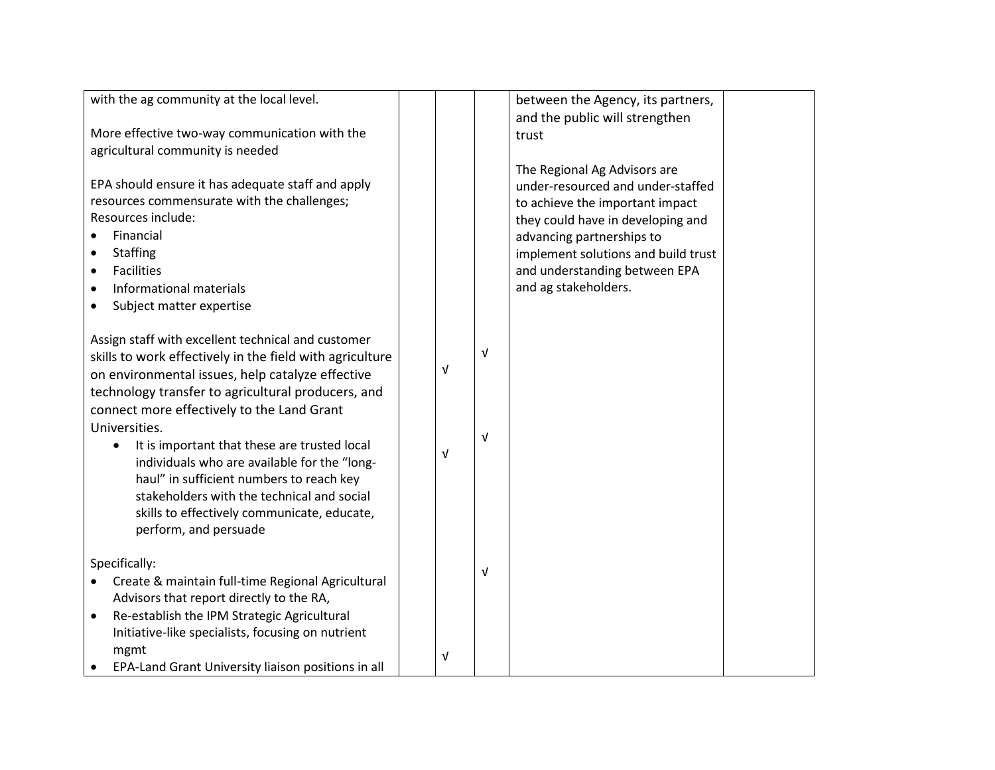| with the ag community at the local level.                 |   |            | between the Agency, its partners,   |  |
|-----------------------------------------------------------|---|------------|-------------------------------------|--|
|                                                           |   |            | and the public will strengthen      |  |
| More effective two-way communication with the             |   |            | trust                               |  |
| agricultural community is needed                          |   |            |                                     |  |
|                                                           |   |            | The Regional Ag Advisors are        |  |
| EPA should ensure it has adequate staff and apply         |   |            | under-resourced and under-staffed   |  |
| resources commensurate with the challenges;               |   |            | to achieve the important impact     |  |
| Resources include:                                        |   |            | they could have in developing and   |  |
| Financial                                                 |   |            | advancing partnerships to           |  |
| <b>Staffing</b>                                           |   |            | implement solutions and build trust |  |
| <b>Facilities</b>                                         |   |            | and understanding between EPA       |  |
| Informational materials                                   |   |            | and ag stakeholders.                |  |
| Subject matter expertise<br>$\bullet$                     |   |            |                                     |  |
|                                                           |   |            |                                     |  |
| Assign staff with excellent technical and customer        |   |            |                                     |  |
| skills to work effectively in the field with agriculture  |   | $\sqrt{ }$ |                                     |  |
| on environmental issues, help catalyze effective          | V |            |                                     |  |
| technology transfer to agricultural producers, and        |   |            |                                     |  |
| connect more effectively to the Land Grant                |   |            |                                     |  |
| Universities.                                             |   |            |                                     |  |
| It is important that these are trusted local<br>$\bullet$ |   | $\sqrt{ }$ |                                     |  |
| individuals who are available for the "long-              | V |            |                                     |  |
| haul" in sufficient numbers to reach key                  |   |            |                                     |  |
| stakeholders with the technical and social                |   |            |                                     |  |
|                                                           |   |            |                                     |  |
| skills to effectively communicate, educate,               |   |            |                                     |  |
| perform, and persuade                                     |   |            |                                     |  |
| Specifically:                                             |   |            |                                     |  |
|                                                           |   | $\sqrt{ }$ |                                     |  |
| Create & maintain full-time Regional Agricultural         |   |            |                                     |  |
| Advisors that report directly to the RA,                  |   |            |                                     |  |
| Re-establish the IPM Strategic Agricultural<br>$\bullet$  |   |            |                                     |  |
| Initiative-like specialists, focusing on nutrient         |   |            |                                     |  |
| mgmt                                                      | v |            |                                     |  |
| EPA-Land Grant University liaison positions in all        |   |            |                                     |  |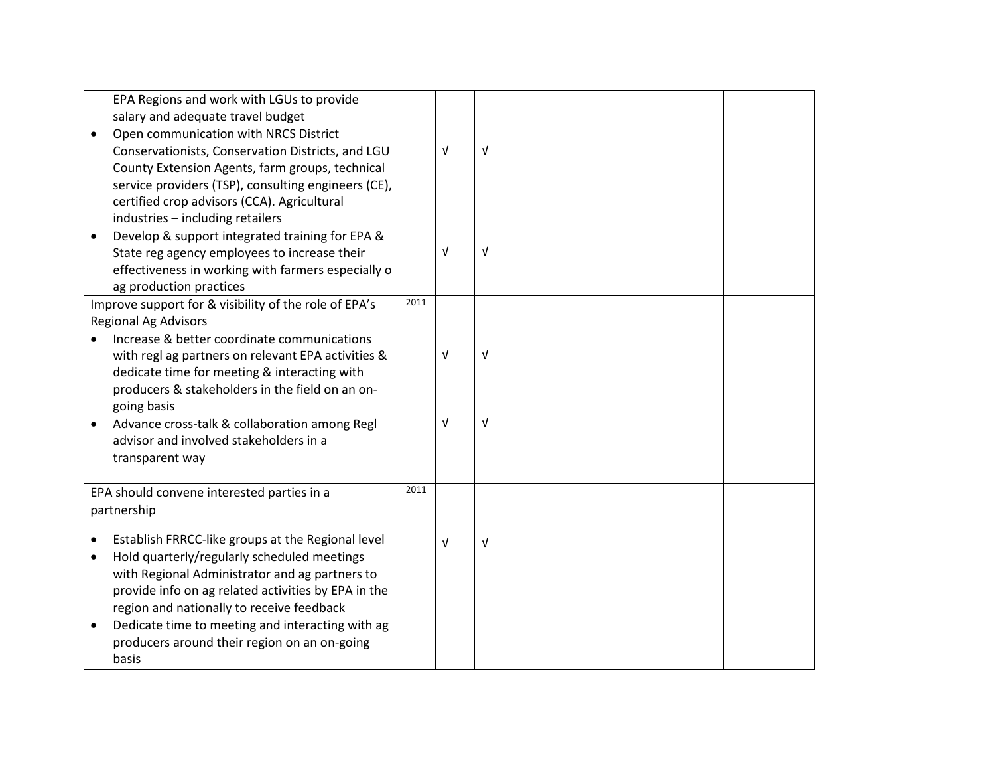|                                     | EPA Regions and work with LGUs to provide<br>salary and adequate travel budget<br>Open communication with NRCS District<br>Conservationists, Conservation Districts, and LGU<br>County Extension Agents, farm groups, technical<br>service providers (TSP), consulting engineers (CE),<br>certified crop advisors (CCA). Agricultural                            |      | $\sqrt{ }$               | $\sqrt{ }$      |  |
|-------------------------------------|------------------------------------------------------------------------------------------------------------------------------------------------------------------------------------------------------------------------------------------------------------------------------------------------------------------------------------------------------------------|------|--------------------------|-----------------|--|
| $\bullet$                           | industries - including retailers<br>Develop & support integrated training for EPA &<br>State reg agency employees to increase their<br>effectiveness in working with farmers especially o<br>ag production practices                                                                                                                                             |      | $\sqrt{ }$               | V               |  |
|                                     | Improve support for & visibility of the role of EPA's                                                                                                                                                                                                                                                                                                            | 2011 |                          |                 |  |
| $\bullet$                           | <b>Regional Ag Advisors</b><br>Increase & better coordinate communications<br>with regl ag partners on relevant EPA activities &<br>dedicate time for meeting & interacting with<br>producers & stakeholders in the field on an on-<br>going basis<br>Advance cross-talk & collaboration among Regl<br>advisor and involved stakeholders in a<br>transparent way |      | $\sqrt{ }$<br>$\sqrt{ }$ | V<br>$\sqrt{ }$ |  |
|                                     | EPA should convene interested parties in a                                                                                                                                                                                                                                                                                                                       | 2011 |                          |                 |  |
|                                     | partnership                                                                                                                                                                                                                                                                                                                                                      |      |                          |                 |  |
| $\bullet$<br>$\bullet$<br>$\bullet$ | Establish FRRCC-like groups at the Regional level<br>Hold quarterly/regularly scheduled meetings<br>with Regional Administrator and ag partners to<br>provide info on ag related activities by EPA in the<br>region and nationally to receive feedback<br>Dedicate time to meeting and interacting with ag                                                       |      | $\sqrt{ }$               | V               |  |
|                                     | producers around their region on an on-going<br>basis                                                                                                                                                                                                                                                                                                            |      |                          |                 |  |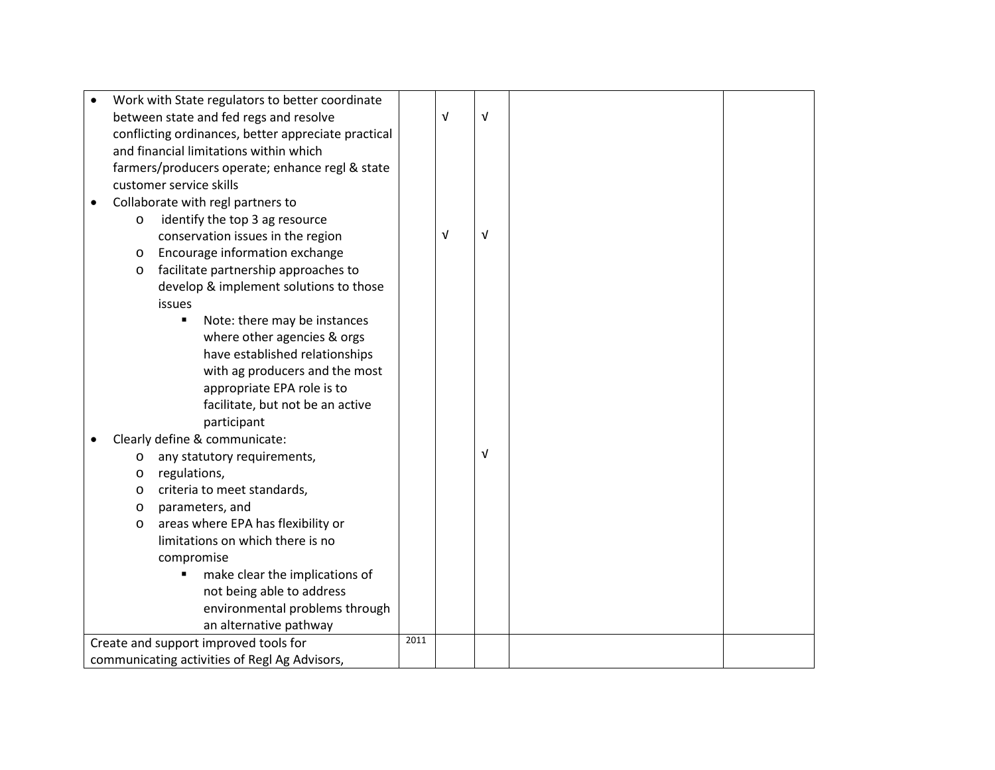|         | Work with State regulators to better coordinate     |      |            |            |  |
|---------|-----------------------------------------------------|------|------------|------------|--|
|         | between state and fed regs and resolve              |      | $\sqrt{ }$ | $\sqrt{ }$ |  |
|         | conflicting ordinances, better appreciate practical |      |            |            |  |
|         | and financial limitations within which              |      |            |            |  |
|         | farmers/producers operate; enhance regl & state     |      |            |            |  |
|         | customer service skills                             |      |            |            |  |
|         | Collaborate with regl partners to                   |      |            |            |  |
| $\circ$ | identify the top 3 ag resource                      |      |            |            |  |
|         | conservation issues in the region                   |      | $\sqrt{ }$ | $\sqrt{ }$ |  |
| $\circ$ | Encourage information exchange                      |      |            |            |  |
| $\circ$ | facilitate partnership approaches to                |      |            |            |  |
|         | develop & implement solutions to those              |      |            |            |  |
|         | issues                                              |      |            |            |  |
|         | Note: there may be instances<br>п                   |      |            |            |  |
|         | where other agencies & orgs                         |      |            |            |  |
|         | have established relationships                      |      |            |            |  |
|         | with ag producers and the most                      |      |            |            |  |
|         | appropriate EPA role is to                          |      |            |            |  |
|         | facilitate, but not be an active                    |      |            |            |  |
|         | participant                                         |      |            |            |  |
|         | Clearly define & communicate:                       |      |            |            |  |
| $\circ$ | any statutory requirements,                         |      |            | $\sqrt{ }$ |  |
| $\circ$ | regulations,                                        |      |            |            |  |
| $\circ$ | criteria to meet standards,                         |      |            |            |  |
| $\circ$ | parameters, and                                     |      |            |            |  |
| $\circ$ | areas where EPA has flexibility or                  |      |            |            |  |
|         | limitations on which there is no                    |      |            |            |  |
|         | compromise                                          |      |            |            |  |
|         | make clear the implications of                      |      |            |            |  |
|         | not being able to address                           |      |            |            |  |
|         | environmental problems through                      |      |            |            |  |
|         | an alternative pathway                              |      |            |            |  |
|         | Create and support improved tools for               | 2011 |            |            |  |
|         | communicating activities of Regl Ag Advisors,       |      |            |            |  |
|         |                                                     |      |            |            |  |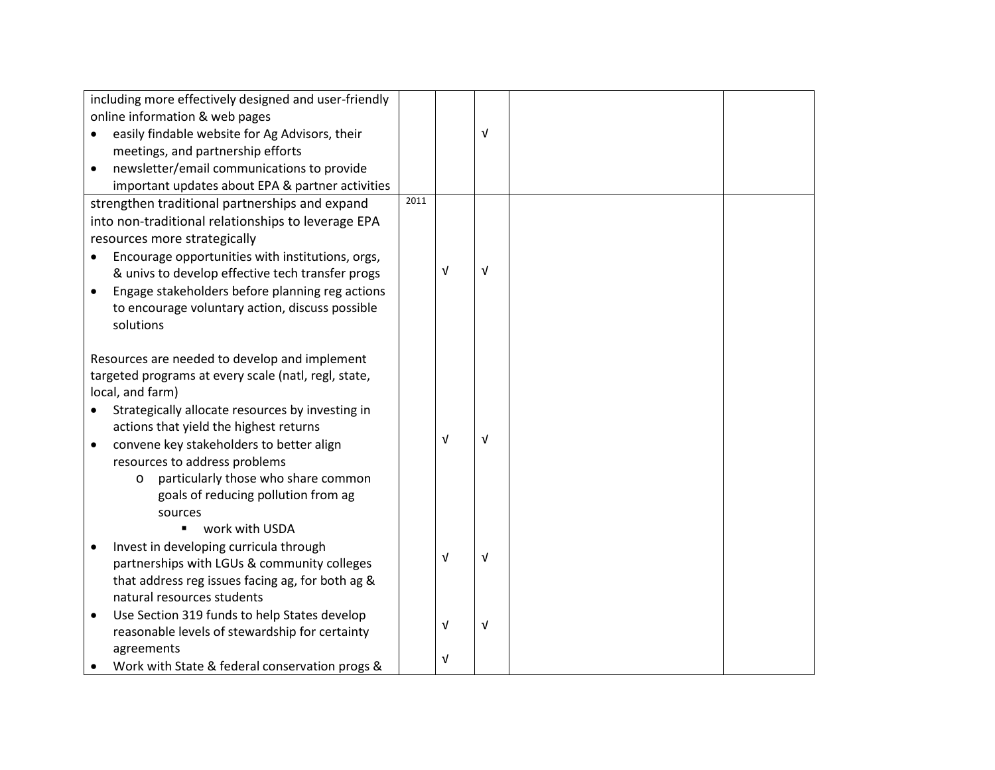| including more effectively designed and user-friendly     |      |            |            |  |
|-----------------------------------------------------------|------|------------|------------|--|
| online information & web pages                            |      |            |            |  |
| easily findable website for Ag Advisors, their            |      |            | V          |  |
| meetings, and partnership efforts                         |      |            |            |  |
| newsletter/email communications to provide                |      |            |            |  |
| important updates about EPA & partner activities          |      |            |            |  |
| strengthen traditional partnerships and expand            | 2011 |            |            |  |
| into non-traditional relationships to leverage EPA        |      |            |            |  |
| resources more strategically                              |      |            |            |  |
| Encourage opportunities with institutions, orgs,          |      |            |            |  |
| & univs to develop effective tech transfer progs          |      | $\sqrt{ }$ | V          |  |
| Engage stakeholders before planning reg actions           |      |            |            |  |
| to encourage voluntary action, discuss possible           |      |            |            |  |
| solutions                                                 |      |            |            |  |
|                                                           |      |            |            |  |
| Resources are needed to develop and implement             |      |            |            |  |
| targeted programs at every scale (natl, regl, state,      |      |            |            |  |
| local, and farm)                                          |      |            |            |  |
| Strategically allocate resources by investing in          |      |            |            |  |
| actions that yield the highest returns                    |      |            |            |  |
| convene key stakeholders to better align<br>$\bullet$     |      | $\sqrt{ }$ | v          |  |
| resources to address problems                             |      |            |            |  |
| particularly those who share common<br>O                  |      |            |            |  |
| goals of reducing pollution from ag                       |      |            |            |  |
| sources                                                   |      |            |            |  |
| work with USDA                                            |      |            |            |  |
| Invest in developing curricula through<br>$\bullet$       |      |            |            |  |
| partnerships with LGUs & community colleges               |      | Λ          | V          |  |
| that address reg issues facing ag, for both ag &          |      |            |            |  |
| natural resources students                                |      |            |            |  |
| Use Section 319 funds to help States develop<br>$\bullet$ |      |            |            |  |
| reasonable levels of stewardship for certainty            |      | V          | $\sqrt{ }$ |  |
| agreements                                                |      |            |            |  |
| Work with State & federal conservation progs &            |      | V          |            |  |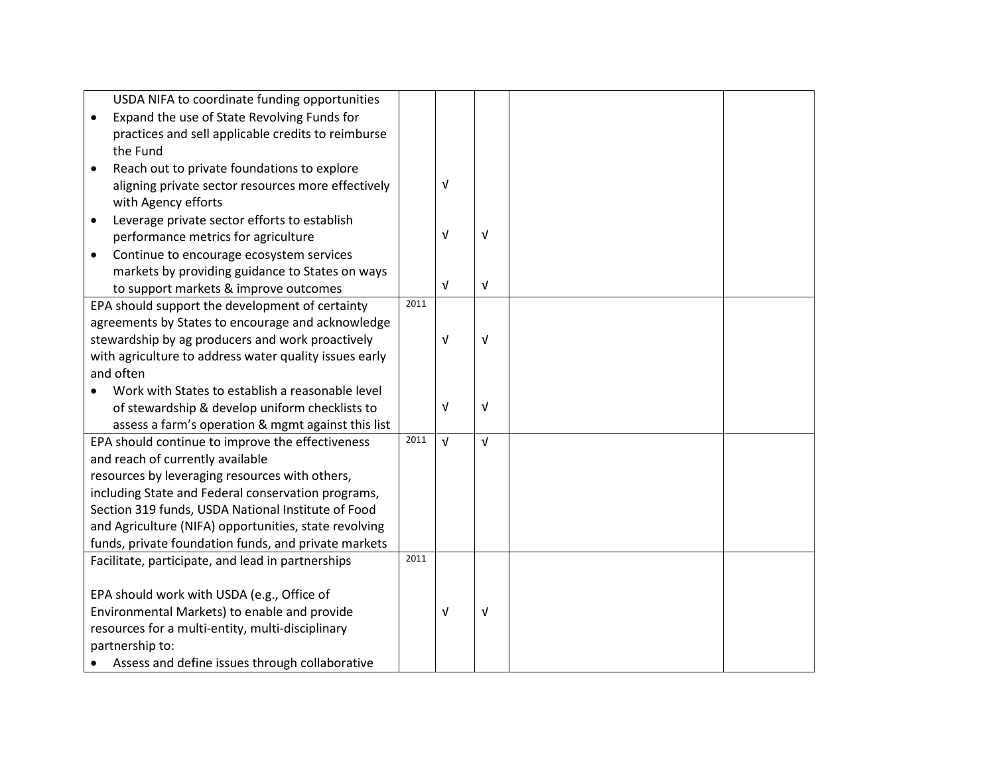|                                                  | USDA NIFA to coordinate funding opportunities          |      |            |            |  |
|--------------------------------------------------|--------------------------------------------------------|------|------------|------------|--|
| $\bullet$                                        | Expand the use of State Revolving Funds for            |      |            |            |  |
|                                                  | practices and sell applicable credits to reimburse     |      |            |            |  |
|                                                  | the Fund                                               |      |            |            |  |
|                                                  | Reach out to private foundations to explore            |      |            |            |  |
|                                                  | aligning private sector resources more effectively     |      | $\sqrt{ }$ |            |  |
|                                                  | with Agency efforts                                    |      |            |            |  |
| $\bullet$                                        | Leverage private sector efforts to establish           |      |            |            |  |
|                                                  | performance metrics for agriculture                    |      | $\sqrt{ }$ | $\sqrt{ }$ |  |
|                                                  |                                                        |      |            |            |  |
| $\bullet$                                        | Continue to encourage ecosystem services               |      |            |            |  |
|                                                  | markets by providing guidance to States on ways        |      | $\sqrt{ }$ | $\sqrt{ }$ |  |
|                                                  | to support markets & improve outcomes                  | 2011 |            |            |  |
|                                                  | EPA should support the development of certainty        |      |            |            |  |
|                                                  | agreements by States to encourage and acknowledge      |      |            |            |  |
|                                                  | stewardship by ag producers and work proactively       |      | $\sqrt{ }$ | $\sqrt{ }$ |  |
|                                                  | with agriculture to address water quality issues early |      |            |            |  |
|                                                  | and often                                              |      |            |            |  |
|                                                  | Work with States to establish a reasonable level       |      |            |            |  |
|                                                  | of stewardship & develop uniform checklists to         |      | V          | $\sqrt{ }$ |  |
|                                                  | assess a farm's operation & mgmt against this list     |      |            |            |  |
|                                                  | EPA should continue to improve the effectiveness       | 2011 | $\sqrt{ }$ | V          |  |
|                                                  | and reach of currently available                       |      |            |            |  |
|                                                  | resources by leveraging resources with others,         |      |            |            |  |
|                                                  | including State and Federal conservation programs,     |      |            |            |  |
|                                                  | Section 319 funds, USDA National Institute of Food     |      |            |            |  |
|                                                  | and Agriculture (NIFA) opportunities, state revolving  |      |            |            |  |
|                                                  | funds, private foundation funds, and private markets   |      |            |            |  |
|                                                  | Facilitate, participate, and lead in partnerships      | 2011 |            |            |  |
|                                                  |                                                        |      |            |            |  |
|                                                  | EPA should work with USDA (e.g., Office of             |      |            |            |  |
|                                                  | Environmental Markets) to enable and provide           |      | $\sqrt{ }$ | V          |  |
| resources for a multi-entity, multi-disciplinary |                                                        |      |            |            |  |
|                                                  | partnership to:                                        |      |            |            |  |
|                                                  | Assess and define issues through collaborative         |      |            |            |  |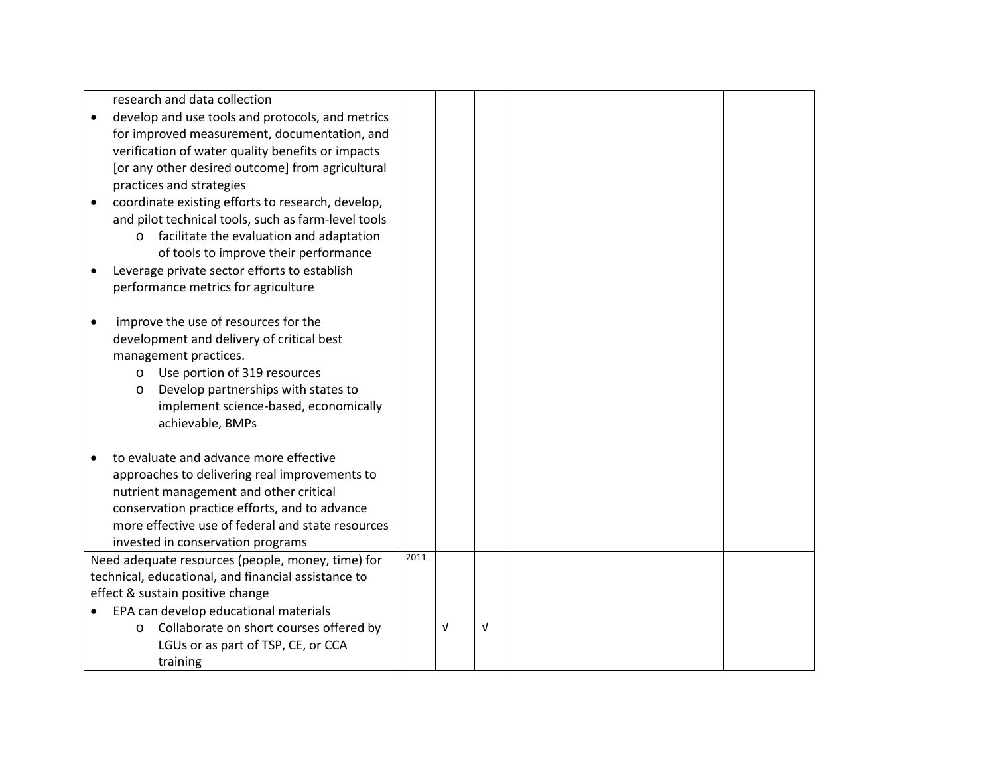| research and data collection                                                                |      |   |            |  |
|---------------------------------------------------------------------------------------------|------|---|------------|--|
| develop and use tools and protocols, and metrics                                            |      |   |            |  |
| for improved measurement, documentation, and                                                |      |   |            |  |
| verification of water quality benefits or impacts                                           |      |   |            |  |
| [or any other desired outcome] from agricultural                                            |      |   |            |  |
| practices and strategies                                                                    |      |   |            |  |
| coordinate existing efforts to research, develop,                                           |      |   |            |  |
| and pilot technical tools, such as farm-level tools                                         |      |   |            |  |
| facilitate the evaluation and adaptation<br>$\circ$                                         |      |   |            |  |
| of tools to improve their performance                                                       |      |   |            |  |
| Leverage private sector efforts to establish                                                |      |   |            |  |
| performance metrics for agriculture                                                         |      |   |            |  |
|                                                                                             |      |   |            |  |
| improve the use of resources for the                                                        |      |   |            |  |
| development and delivery of critical best                                                   |      |   |            |  |
| management practices.                                                                       |      |   |            |  |
| o Use portion of 319 resources                                                              |      |   |            |  |
| Develop partnerships with states to<br>$\circ$                                              |      |   |            |  |
| implement science-based, economically                                                       |      |   |            |  |
| achievable, BMPs                                                                            |      |   |            |  |
|                                                                                             |      |   |            |  |
| to evaluate and advance more effective                                                      |      |   |            |  |
| approaches to delivering real improvements to                                               |      |   |            |  |
| nutrient management and other critical                                                      |      |   |            |  |
| conservation practice efforts, and to advance                                               |      |   |            |  |
| more effective use of federal and state resources                                           |      |   |            |  |
| invested in conservation programs                                                           | 2011 |   |            |  |
| Need adequate resources (people, money, time) for                                           |      |   |            |  |
| technical, educational, and financial assistance to<br>effect & sustain positive change     |      |   |            |  |
|                                                                                             |      |   |            |  |
| EPA can develop educational materials<br>Collaborate on short courses offered by<br>$\circ$ |      | V | $\sqrt{ }$ |  |
| LGUs or as part of TSP, CE, or CCA                                                          |      |   |            |  |
| training                                                                                    |      |   |            |  |
|                                                                                             |      |   |            |  |